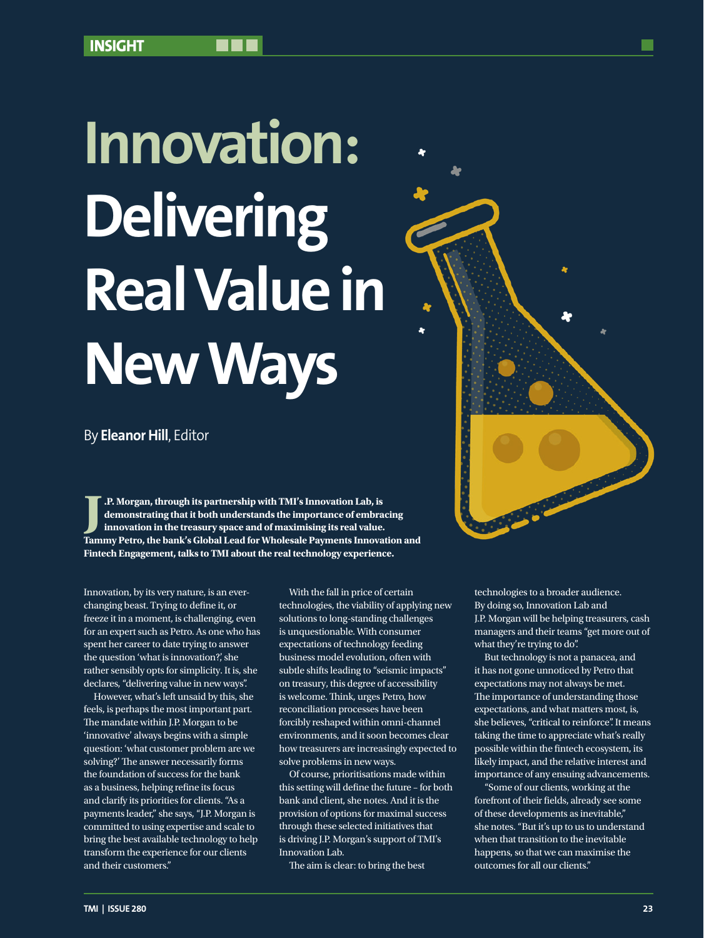# **Innovation: Delivering Real Value in New Ways**

By **Eleanor Hill**, Editor

**J** .P. Morgan, through its partnership with TMI's Innovation Lab, is<br>demonstrating that it both understands the importance of embracing<br>innovation in the treasury space and of maximising its real value.<br>Tammy Petro, the b **.P. Morgan, through its partnership with TMI's Innovation Lab, is demonstrating that it both understands the importance of embracing innovation in the treasury space and of maximising its real value. Fintech Engagement, talks to TMI about the real technology experience.** 

Innovation, by its very nature, is an everchanging beast. Trying to define it, or freeze it in a moment, is challenging, even for an expert such as Petro. As one who has spent her career to date trying to answer the question 'what is innovation?', she rather sensibly opts for simplicity. It is, she declares, "delivering value in new ways".

However, what's left unsaid by this, she feels, is perhaps the most important part. The mandate within J.P. Morgan to be 'innovative' always begins with a simple question: 'what customer problem are we solving?' The answer necessarily forms the foundation of success for the bank as a business, helping refine its focus and clarify its priorities for clients. "As a payments leader," she says, "J.P. Morgan is committed to using expertise and scale to bring the best available technology to help transform the experience for our clients and their customers."

With the fall in price of certain technologies, the viability of applying new solutions to long-standing challenges is unquestionable. With consumer expectations of technology feeding business model evolution, often with subtle shifts leading to "seismic impacts" on treasury, this degree of accessibility is welcome. Think, urges Petro, how reconciliation processes have been forcibly reshaped within omni-channel environments, and it soon becomes clear how treasurers are increasingly expected to solve problems in new ways.

Of course, prioritisations made within this setting will define the future – for both bank and client, she notes. And it is the provision of options for maximal success through these selected initiatives that is driving J.P. Morgan's support of TMI's Innovation Lab.

The aim is clear: to bring the best

technologies to a broader audience. By doing so, Innovation Lab and J.P. Morgan will be helping treasurers, cash managers and their teams "get more out of what they're trying to do".

But technology is not a panacea, and it has not gone unnoticed by Petro that expectations may not always be met. The importance of understanding those expectations, and what matters most, is, she believes, "critical to reinforce". It means taking the time to appreciate what's really possible within the fintech ecosystem, its likely impact, and the relative interest and importance of any ensuing advancements.

"Some of our clients, working at the forefront of their fields, already see some of these developments as inevitable," she notes. "But it's up to us to understand when that transition to the inevitable happens, so that we can maximise the outcomes for all our clients."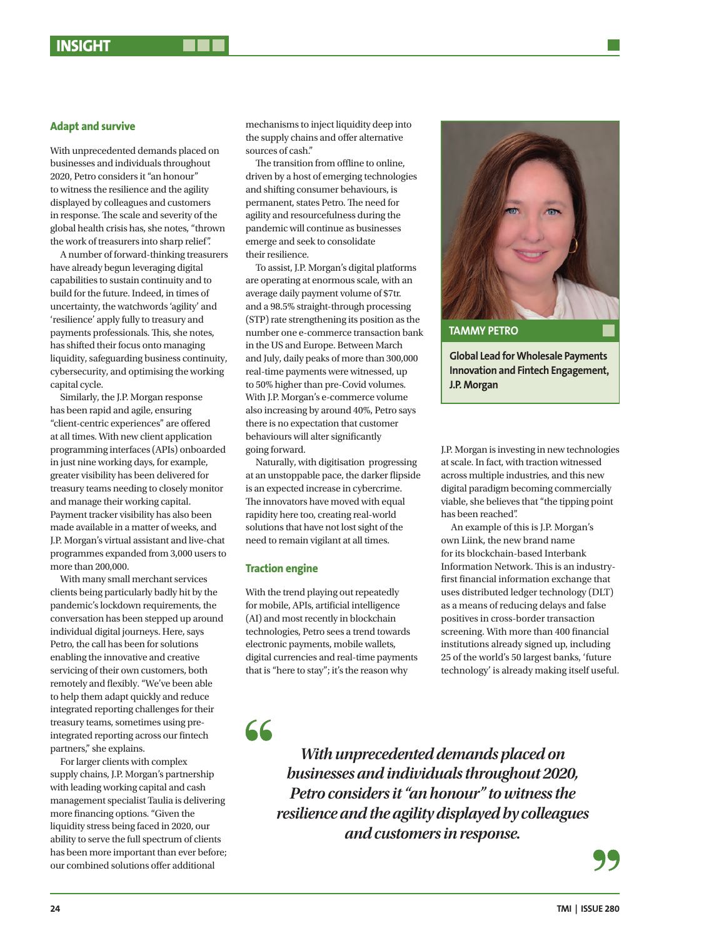### **Adapt and survive**

With unprecedented demands placed on businesses and individuals throughout 2020, Petro considers it "an honour" to witness the resilience and the agility displayed by colleagues and customers in response. The scale and severity of the global health crisis has, she notes, "thrown the work of treasurers into sharp relief".

A number of forward-thinking treasurers have already begun leveraging digital capabilities to sustain continuity and to build for the future. Indeed, in times of uncertainty, the watchwords 'agility' and 'resilience' apply fully to treasury and payments professionals. This, she notes, has shifted their focus onto managing liquidity, safeguarding business continuity, cybersecurity, and optimising the working capital cycle.

Similarly, the J.P. Morgan response has been rapid and agile, ensuring "client-centric experiences" are offered at all times. With new client application programming interfaces (APIs) onboarded in just nine working days, for example, greater visibility has been delivered for treasury teams needing to closely monitor and manage their working capital. Payment tracker visibility has also been made available in a matter of weeks, and J.P. Morgan's virtual assistant and live-chat programmes expanded from 3,000 users to more than 200,000.

With many small merchant services clients being particularly badly hit by the pandemic's lockdown requirements, the conversation has been stepped up around individual digital journeys. Here, says Petro, the call has been for solutions enabling the innovative and creative servicing of their own customers, both remotely and flexibly. "We've been able to help them adapt quickly and reduce integrated reporting challenges for their treasury teams, sometimes using preintegrated reporting across our fintech partners," she explains.

For larger clients with complex supply chains, J.P. Morgan's partnership with leading working capital and cash management specialist Taulia is delivering more financing options. "Given the liquidity stress being faced in 2020, our ability to serve the full spectrum of clients has been more important than ever before; our combined solutions offer additional

mechanisms to inject liquidity deep into the supply chains and offer alternative sources of cash."

The transition from offline to online, driven by a host of emerging technologies and shifting consumer behaviours, is permanent, states Petro. The need for agility and resourcefulness during the pandemic will continue as businesses emerge and seek to consolidate their resilience.

To assist, J.P. Morgan's digital platforms are operating at enormous scale, with an average daily payment volume of \$7tr. and a 98.5% straight-through processing (STP) rate strengthening its position as the number one e-commerce transaction bank in the US and Europe. Between March and July, daily peaks of more than 300,000 real-time payments were witnessed, up to 50% higher than pre-Covid volumes. With J.P. Morgan's e-commerce volume also increasing by around 40%, Petro says there is no expectation that customer behaviours will alter significantly going forward.

Naturally, with digitisation progressing at an unstoppable pace, the darker flipside is an expected increase in cybercrime. The innovators have moved with equal rapidity here too, creating real-world solutions that have not lost sight of the need to remain vigilant at all times.

#### **Traction engine**

With the trend playing out repeatedly for mobile, APIs, artificial intelligence (AI) and most recently in blockchain technologies, Petro sees a trend towards electronic payments, mobile wallets, digital currencies and real-time payments that is "here to stay"; it's the reason why



**Global Lead for Wholesale Payments Innovation and Fintech Engagement, J.P. Morgan**

J.P. Morgan is investing in new technologies at scale. In fact, with traction witnessed across multiple industries, and this new digital paradigm becoming commercially viable, she believes that "the tipping point has been reached".

An example of this is J.P. Morgan's own Liink, the new brand name for its blockchain-based Interbank Information Network. This is an industryfirst financial information exchange that uses distributed ledger technology (DLT) as a means of reducing delays and false positives in cross-border transaction screening. With more than 400 financial institutions already signed up, including 25 of the world's 50 largest banks, 'future technology' is already making itself useful.

66

*With unprecedented demands placed on businesses and individuals throughout 2020, Petro considers it "an honour" to witness the resilience and the agility displayed by colleagues and customers in response.*